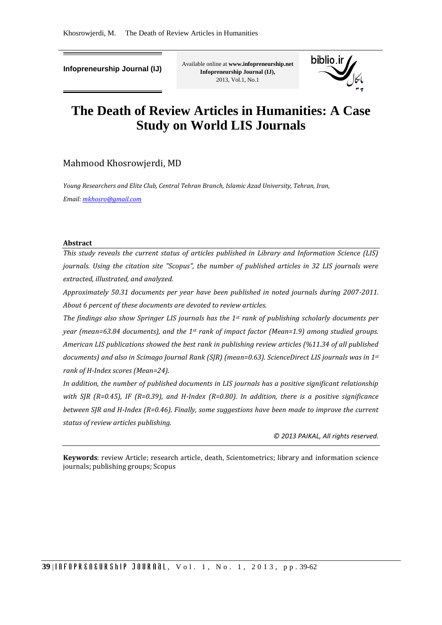**Infopreneurship Journal (IJ)**

Available online at **www.infopreneurship.net Infopreneurship Journal (IJ),** 2013, Vol.1, No.1



# **The Death of Review Articles in Humanities: A Case Study on World LIS Journals**

# Mahmood Khosrowjerdi, MD

*Young Researchers and Elite Club, Central Tehran Branch, Islamic Azad University, Tehran, Iran, Email[: mkhosro@gmail.com](mailto:mkhosro@gmail.com)*

#### **Abstract**

*This study reveals the current status of articles published in Library and Information Science (LIS) journals. Using the citation site "Scopus", the number of published articles in 32 LIS journals were extracted, illustrated, and analyzed.* 

*Approximately 50.31 documents per year have been published in noted journals during 2007-2011. About 6 percent of these documents are devoted to review articles.* 

*The findings also show Springer LIS journals has the 1st rank of publishing scholarly documents per year (mean=63.84 documents), and the 1st rank of impact factor (Mean=1.9) among studied groups. American LIS publications showed the best rank in publishing review articles (%11.34 of all published documents) and also in Scimago Journal Rank (SJR) (mean=0.63). ScienceDirect LIS journals was in 1st rank of H-Index scores (Mean=24).* 

*In addition, the number of published documents in LIS journals has a positive significant relationship with SJR (R=0.45), IF (R=0.39), and H-Index (R=0.80). In addition, there is a positive significance between SJR and H-Index (R=0.46). Finally, some suggestions have been made to improve the current status of review articles publishing.*

*© 2013 PAIKAL, All rights reserved.*

**Keywords**: review Article; research article, death, Scientometrics; library and information science journals; publishing groups; Scopus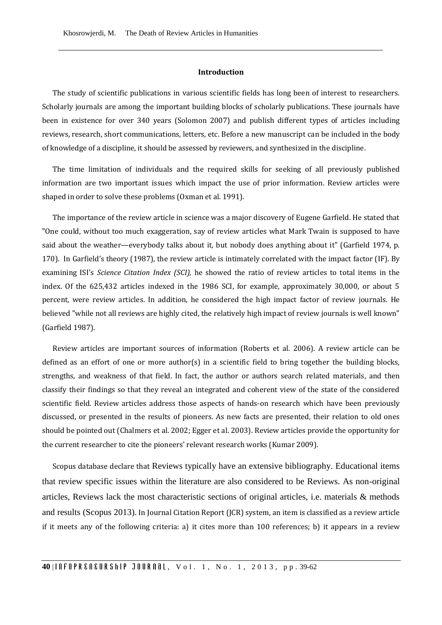#### **Introduction**

The study of scientific publications in various scientific fields has long been of interest to researchers. Scholarly journals are among the important building blocks of scholarly publications. These journals have been in existence for over 340 years (Solomon 2007) and publish different types of articles including reviews, research, short communications, letters, etc. Before a new manuscript can be included in the body of knowledge of a discipline, it should be assessed by reviewers, and synthesized in the discipline.

The time limitation of individuals and the required skills for seeking of all previously published information are two important issues which impact the use of prior information. Review articles were shaped in order to solve these problems (Oxman et al. 1991).

The importance of the review article in science was a major discovery of Eugene Garfield. He stated that "One could, without too much exaggeration, say of review articles what Mark Twain is supposed to have said about the weather—everybody talks about it, but nobody does anything about it" (Garfield 1974, p. 170). In Garfield's theory (1987), the review article is intimately correlated with the impact factor (IF). By examining ISI's *Science Citation Index (SCI),* he showed the ratio of review articles to total items in the index. Of the 625,432 articles indexed in the 1986 SCI, for example, approximately 30,000, or about 5 percent, were review articles. In addition, he considered the high impact factor of review journals. He believed "while not all reviews are highly cited, the relatively high impact of review journals is well known" (Garfield 1987).

Review articles are important sources of information (Roberts et al. 2006). A review article can be defined as an effort of one or more author(s) in a scientific field to bring together the building blocks, strengths, and weakness of that field. In fact, the author or authors search related materials, and then classify their findings so that they reveal an integrated and coherent view of the state of the considered scientific field. Review articles address those aspects of hands-on research which have been previously discussed, or presented in the results of pioneers. As new facts are presented, their relation to old ones should be pointed out (Chalmers et al. 2002; Egger et al. 2003). Review articles provide the opportunity for the current researcher to cite the pioneers' relevant research works (Kumar 2009).

Scopus database declare that Reviews typically have an extensive bibliography. Educational items that review specific issues within the literature are also considered to be Reviews. As non-original articles, Reviews lack the most characteristic sections of original articles, i.e. materials & methods and results (Scopus 2013). In Journal Citation Report (JCR) system, an item is classified as a review article if it meets any of the following criteria: a) it cites more than 100 references; b) it appears in a review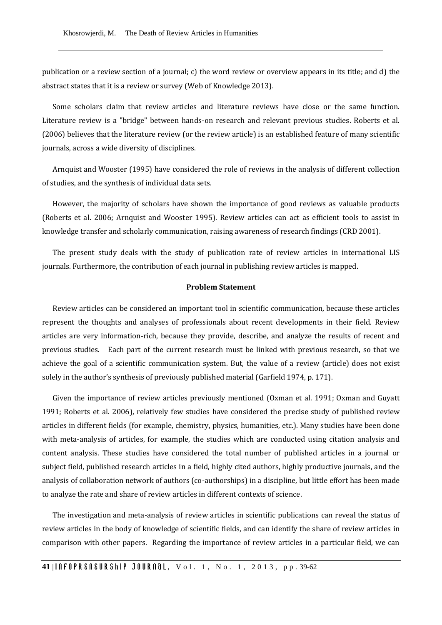publication or a review section of a journal; c) the word review or overview appears in its title; and d) the abstract states that it is a review or survey (Web of Knowledge 2013).

Some scholars claim that review articles and literature reviews have close or the same function. Literature review is a "bridge" between hands-on research and relevant previous studies. Roberts et al. (2006) believes that the literature review (or the review article) is an established feature of many scientific journals, across a wide diversity of disciplines.

Arnquist and Wooster (1995) have considered the role of reviews in the analysis of different collection of studies, and the synthesis of individual data sets.

However, the majority of scholars have shown the importance of good reviews as valuable products (Roberts et al. 2006; Arnquist and Wooster 1995). Review articles can act as efficient tools to assist in knowledge transfer and scholarly communication, raising awareness of research findings (CRD 2001).

The present study deals with the study of publication rate of review articles in international LIS journals. Furthermore, the contribution of each journal in publishing review articles is mapped.

#### **Problem Statement**

Review articles can be considered an important tool in scientific communication, because these articles represent the thoughts and analyses of professionals about recent developments in their field. Review articles are very information-rich, because they provide, describe, and analyze the results of recent and previous studies. Each part of the current research must be linked with previous research, so that we achieve the goal of a scientific communication system. But, the value of a review (article) does not exist solely in the author's synthesis of previously published material (Garfield 1974, p. 171).

Given the importance of review articles previously mentioned (Oxman et al. 1991; Oxman and Guyatt 1991; Roberts et al. 2006), relatively few studies have considered the precise study of published review articles in different fields (for example, chemistry, physics, humanities, etc.). Many studies have been done with meta-analysis of articles, for example, the studies which are conducted using citation analysis and content analysis. These studies have considered the total number of published articles in a journal or subject field, published research articles in a field, highly cited authors, highly productive journals, and the analysis of collaboration network of authors (co-authorships) in a discipline, but little effort has been made to analyze the rate and share of review articles in different contexts of science.

The investigation and meta-analysis of review articles in scientific publications can reveal the status of review articles in the body of knowledge of scientific fields, and can identify the share of review articles in comparison with other papers. Regarding the importance of review articles in a particular field, we can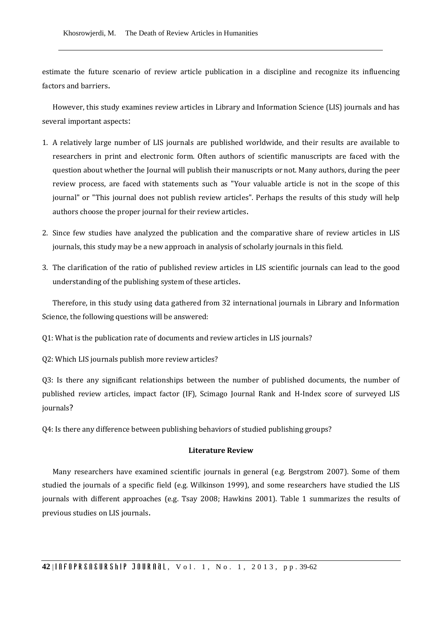estimate the future scenario of review article publication in a discipline and recognize its influencing factors and barriers.

However, this study examines review articles in Library and Information Science (LIS) journals and has several important aspects:

- 1. A relatively large number of LIS journals are published worldwide, and their results are available to researchers in print and electronic form. Often authors of scientific manuscripts are faced with the question about whether the Journal will publish their manuscripts or not. Many authors, during the peer review process, are faced with statements such as "Your valuable article is not in the scope of this journal" or "This journal does not publish review articles". Perhaps the results of this study will help authors choose the proper journal for their review articles.
- 2. Since few studies have analyzed the publication and the comparative share of review articles in LIS journals, this study may be a new approach in analysis of scholarly journals in this field.
- 3. The clarification of the ratio of published review articles in LIS scientific journals can lead to the good understanding of the publishing system of these articles.

Therefore, in this study using data gathered from 32 international journals in Library and Information Science, the following questions will be answered:

Q1: What is the publication rate of documents and review articles in LIS journals?

Q2: Which LIS journals publish more review articles?

Q3: Is there any significant relationships between the number of published documents, the number of published review articles, impact factor (IF), Scimago Journal Rank and H-Index score of surveyed LIS journals?

Q4: Is there any difference between publishing behaviors of studied publishing groups?

## **Literature Review**

Many researchers have examined scientific journals in general (e.g. Bergstrom 2007). Some of them studied the journals of a specific field (e.g. Wilkinson 1999), and some researchers have studied the LIS journals with different approaches (e.g. Tsay 2008; Hawkins 2001). Table 1 summarizes the results of previous studies on LIS journals.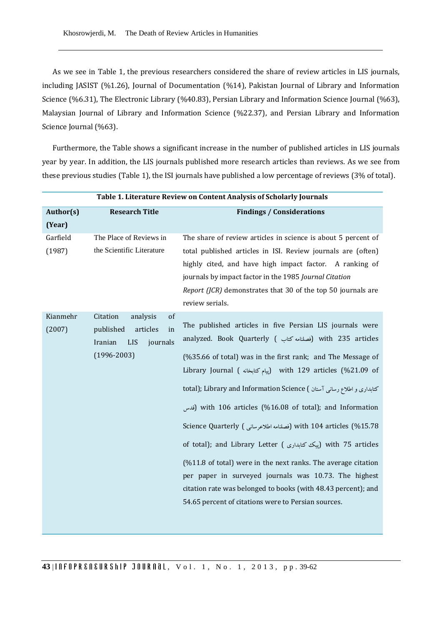As we see in Table 1, the previous researchers considered the share of review articles in LIS journals, including JASIST (%1.26), Journal of Documentation (%14), Pakistan Journal of Library and Information Science (%6.31), The Electronic Library (%40.83), Persian Library and Information Science Journal (%63), Malaysian Journal of Library and Information Science (%22.37), and Persian Library and Information Science Journal (%63).

Furthermore, the Table shows a significant increase in the number of published articles in LIS journals year by year. In addition, the LIS journals published more research articles than reviews. As we see from these previous studies (Table 1), the ISI journals have published a low percentage of reviews (3% of total).

|                    | Table 1. Literature Review on Content Analysis of Scholarly Journals                                              |                                                                                                                                                                                                                                                                                                                                                                                                                                                                                                                                                                                                                                                                                                                                                                                                                     |  |  |  |  |  |
|--------------------|-------------------------------------------------------------------------------------------------------------------|---------------------------------------------------------------------------------------------------------------------------------------------------------------------------------------------------------------------------------------------------------------------------------------------------------------------------------------------------------------------------------------------------------------------------------------------------------------------------------------------------------------------------------------------------------------------------------------------------------------------------------------------------------------------------------------------------------------------------------------------------------------------------------------------------------------------|--|--|--|--|--|
| Author(s)          | <b>Research Title</b>                                                                                             | <b>Findings / Considerations</b>                                                                                                                                                                                                                                                                                                                                                                                                                                                                                                                                                                                                                                                                                                                                                                                    |  |  |  |  |  |
| (Year)             |                                                                                                                   |                                                                                                                                                                                                                                                                                                                                                                                                                                                                                                                                                                                                                                                                                                                                                                                                                     |  |  |  |  |  |
| Garfield           | The Place of Reviews in                                                                                           | The share of review articles in science is about 5 percent of                                                                                                                                                                                                                                                                                                                                                                                                                                                                                                                                                                                                                                                                                                                                                       |  |  |  |  |  |
| (1987)             | the Scientific Literature                                                                                         | total published articles in ISI. Review journals are (often)<br>highly cited, and have high impact factor. A ranking of<br>journals by impact factor in the 1985 Journal Citation<br><i>Report (JCR)</i> demonstrates that 30 of the top 50 journals are<br>review serials.                                                                                                                                                                                                                                                                                                                                                                                                                                                                                                                                         |  |  |  |  |  |
| Kianmehr<br>(2007) | Citation<br>of<br>analysis<br>in<br>published<br>articles<br><b>LIS</b><br>Iranian<br>journals<br>$(1996 - 2003)$ | The published articles in five Persian LIS journals were<br>analyzed. Book Quarterly ( فصلنامه كتاب ) with 235 articles<br>(%35.66 of total) was in the first rank; and The Message of<br>Library Journal ( پیام کتابخانه) with 129 articles (%21.09 of<br>كتابدارى و اطلاع رسانى آستان ) total); Library and Information Science<br>قدس) with 106 articles (%16.08 of total); and Information<br>15.78 with 104 articles (شملنامه اطلاعرسانی) Science Quarterly (فصلنامه اطلاعرسانی)<br>of total); and Library Letter (پیک کتابداری) with 75 articles<br>$(\%11.8 \text{ of total})$ were in the next ranks. The average citation<br>per paper in surveyed journals was 10.73. The highest<br>citation rate was belonged to books (with 48.43 percent); and<br>54.65 percent of citations were to Persian sources. |  |  |  |  |  |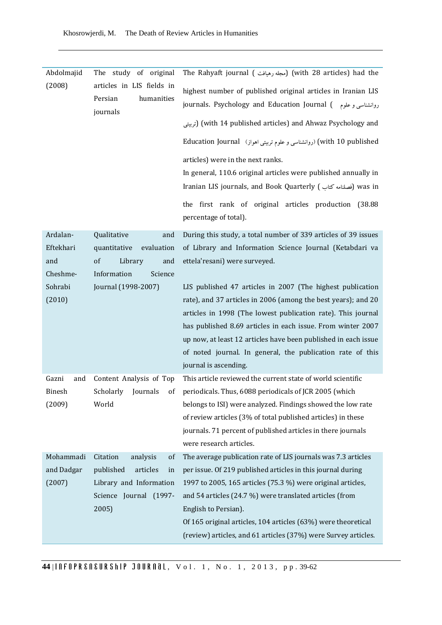| Abdolmajid    | The study<br>of original                                       | The Rahyaft journal (مجله رهيافت) (with 28 articles) had the                                                                       |
|---------------|----------------------------------------------------------------|------------------------------------------------------------------------------------------------------------------------------------|
| (2008)        | articles in LIS fields in<br>Persian<br>humanities<br>journals | highest number of published original articles in Iranian LIS<br>journals. Psychology and Education Journal (  روانشناسی و علوم   ) |
|               |                                                                | رتربيتى) (with 14 published articles) and Ahwaz Psychology and                                                                     |
|               |                                                                | with 10 published) (روانشناسی و علوم تربیتی اهواز) Education Journal                                                               |
|               |                                                                | articles) were in the next ranks.                                                                                                  |
|               |                                                                | In general, 110.6 original articles were published annually in<br>Iranian LIS journals, and Book Quarterly (فصلنامه كتاب) was in   |
|               |                                                                | the first rank of original articles production<br>(38.88<br>percentage of total).                                                  |
| Ardalan-      | Qualitative<br>and                                             | During this study, a total number of 339 articles of 39 issues                                                                     |
| Eftekhari     | evaluation<br>quantitative                                     | of Library and Information Science Journal (Ketabdari va                                                                           |
| and           | <sub>of</sub><br>Library<br>and                                | ettela'resani) were surveyed.                                                                                                      |
| Cheshme-      | Information<br>Science                                         |                                                                                                                                    |
| Sohrabi       | Journal (1998-2007)                                            | LIS published 47 articles in 2007 (The highest publication                                                                         |
| (2010)        |                                                                | rate), and 37 articles in 2006 (among the best years); and 20<br>articles in 1998 (The lowest publication rate). This journal      |
|               |                                                                | has published 8.69 articles in each issue. From winter 2007                                                                        |
|               |                                                                | up now, at least 12 articles have been published in each issue                                                                     |
|               |                                                                | of noted journal. In general, the publication rate of this                                                                         |
|               |                                                                | journal is ascending.                                                                                                              |
| Gazni<br>and  | Content Analysis of Top                                        | This article reviewed the current state of world scientific                                                                        |
| <b>Binesh</b> | Scholarly<br>Journals<br>of                                    | periodicals. Thus, 6088 periodicals of JCR 2005 (which                                                                             |
| (2009)        | World                                                          | belongs to ISI) were analyzed. Findings showed the low rate                                                                        |
|               |                                                                | of review articles (3% of total published articles) in these                                                                       |
|               |                                                                | journals. 71 percent of published articles in there journals<br>were research articles.                                            |
| Mohammadi     | Citation<br>analysis<br>of                                     | The average publication rate of LIS journals was 7.3 articles                                                                      |
| and Dadgar    | published<br>articles<br>in                                    | per issue. Of 219 published articles in this journal during                                                                        |
| (2007)        | Library and Information                                        | 1997 to 2005, 165 articles (75.3 %) were original articles,                                                                        |
|               | Science Journal (1997-                                         | and 54 articles (24.7 %) were translated articles (from                                                                            |
|               | 2005)                                                          | English to Persian).                                                                                                               |
|               |                                                                | Of 165 original articles, 104 articles (63%) were theoretical                                                                      |
|               |                                                                | (review) articles, and 61 articles (37%) were Survey articles.                                                                     |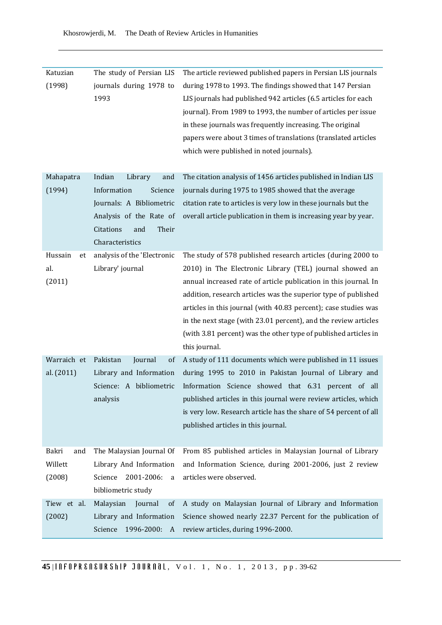| Katuzian      | The study of Persian LIS    | The article reviewed published papers in Persian LIS journals    |
|---------------|-----------------------------|------------------------------------------------------------------|
| (1998)        | journals during 1978 to     | during 1978 to 1993. The findings showed that 147 Persian        |
|               | 1993                        | LIS journals had published 942 articles (6.5 articles for each   |
|               |                             | journal). From 1989 to 1993, the number of articles per issue    |
|               |                             | in these journals was frequently increasing. The original        |
|               |                             | papers were about 3 times of translations (translated articles   |
|               |                             | which were published in noted journals).                         |
|               |                             |                                                                  |
| Mahapatra     | Indian<br>Library<br>and    | The citation analysis of 1456 articles published in Indian LIS   |
| (1994)        | Information<br>Science      | journals during 1975 to 1985 showed that the average             |
|               | Journals: A Bibliometric    | citation rate to articles is very low in these journals but the  |
|               | Analysis of the Rate of     | overall article publication in them is increasing year by year.  |
|               | Citations<br>Their<br>and   |                                                                  |
|               | Characteristics             |                                                                  |
| Hussain<br>et | analysis of the 'Electronic | The study of 578 published research articles (during 2000 to     |
| al.           | Library' journal            | 2010) in The Electronic Library (TEL) journal showed an          |
| (2011)        |                             | annual increased rate of article publication in this journal. In |
|               |                             | addition, research articles was the superior type of published   |
|               |                             | articles in this journal (with 40.83 percent); case studies was  |
|               |                             | in the next stage (with 23.01 percent), and the review articles  |
|               |                             | (with 3.81 percent) was the other type of published articles in  |
|               |                             | this journal.                                                    |
| Warraich et   | Pakistan<br>Journal<br>of   | A study of 111 documents which were published in 11 issues       |
| al. (2011)    | Library and Information     | during 1995 to 2010 in Pakistan Journal of Library and           |
|               | Science: A bibliometric     | Information Science showed that 6.31 percent of all              |
|               | analysis                    | published articles in this journal were review articles, which   |
|               |                             | is very low. Research article has the share of 54 percent of all |
|               |                             | published articles in this journal.                              |
|               |                             |                                                                  |
| Bakri<br>and  | The Malaysian Journal Of    | From 85 published articles in Malaysian Journal of Library       |
| Willett       | Library And Information     | and Information Science, during 2001-2006, just 2 review         |
| (2008)        | 2001-2006:<br>Science<br>a  | articles were observed.                                          |
|               | bibliometric study          |                                                                  |
| Tiew et al.   | Malaysian<br>Journal<br>of  | A study on Malaysian Journal of Library and Information          |
| (2002)        | Library and Information     | Science showed nearly 22.37 Percent for the publication of       |
|               | Science<br>1996-2000:<br>A  | review articles, during 1996-2000.                               |

Khosrowjerdi, M. The Death of Review Articles in Humanities

**45** | **And FIFT OFR EXECURSHIP JOURNAL**, Vol. 1, No. 1, 2013, pp. 39-62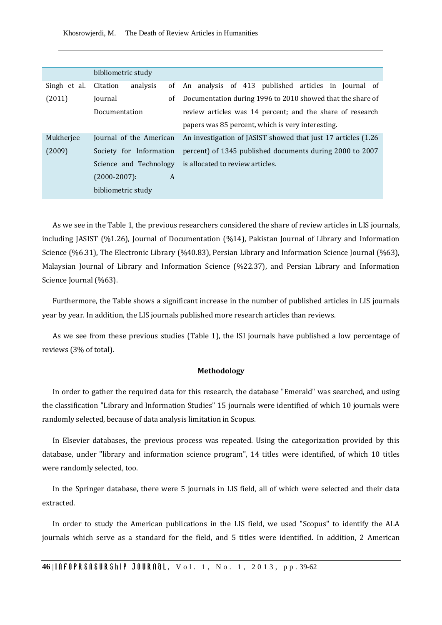Khosrowjerdi, M. The Death of Review Articles in Humanities

|              | bibliometric study         |                                                                |  |  |  |  |  |  |
|--------------|----------------------------|----------------------------------------------------------------|--|--|--|--|--|--|
| Singh et al. | analysis<br>Citation<br>of | An analysis of 413 published articles in Journal of            |  |  |  |  |  |  |
| (2011)       | Journal<br>οf              | Documentation during 1996 to 2010 showed that the share of     |  |  |  |  |  |  |
|              | Documentation              | review articles was 14 percent; and the share of research      |  |  |  |  |  |  |
|              |                            | papers was 85 percent, which is very interesting.              |  |  |  |  |  |  |
| Mukherjee    | Journal of the American    | An investigation of JASIST showed that just 17 articles (1.26) |  |  |  |  |  |  |
| (2009)       | Society for Information    | percent) of 1345 published documents during 2000 to 2007       |  |  |  |  |  |  |
|              |                            | Science and Technology is allocated to review articles.        |  |  |  |  |  |  |
|              | $(2000 - 2007)$ :<br>A     |                                                                |  |  |  |  |  |  |
|              | bibliometric study         |                                                                |  |  |  |  |  |  |

As we see in the Table 1, the previous researchers considered the share of review articles in LIS journals, including JASIST (%1.26), Journal of Documentation (%14), Pakistan Journal of Library and Information Science (%6.31), The Electronic Library (%40.83), Persian Library and Information Science Journal (%63), Malaysian Journal of Library and Information Science (%22.37), and Persian Library and Information Science Journal (%63).

Furthermore, the Table shows a significant increase in the number of published articles in LIS journals year by year. In addition, the LIS journals published more research articles than reviews.

As we see from these previous studies (Table 1), the ISI journals have published a low percentage of reviews (3% of total).

#### **Methodology**

In order to gather the required data for this research, the database "Emerald" was searched, and using the classification "Library and Information Studies" 15 journals were identified of which 10 journals were randomly selected, because of data analysis limitation in Scopus.

In Elsevier databases, the previous process was repeated. Using the categorization provided by this database, under "library and information science program", 14 titles were identified, of which 10 titles were randomly selected, too.

In the Springer database, there were 5 journals in LIS field, all of which were selected and their data extracted.

In order to study the American publications in the LIS field, we used "Scopus" to identify the ALA journals which serve as a standard for the field, and 5 titles were identified. In addition, 2 American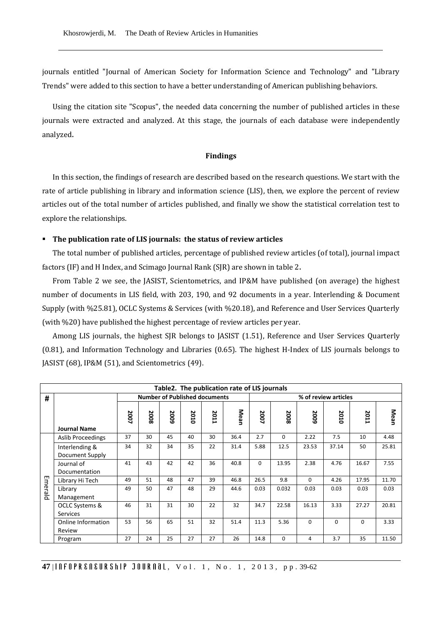journals entitled "Journal of American Society for Information Science and Technology" and "Library Trends" were added to this section to have a better understanding of American publishing behaviors.

Using the citation site "Scopus", the needed data concerning the number of published articles in these journals were extracted and analyzed. At this stage, the journals of each database were independently analyzed.

#### **Findings**

In this section, the findings of research are described based on the research questions. We start with the rate of article publishing in library and information science (LIS), then, we explore the percent of review articles out of the total number of articles published, and finally we show the statistical correlation test to explore the relationships.

#### **The publication rate of LIS journals: the status of review articles**

The total number of published articles, percentage of published review articles (of total), journal impact factors (IF) and H Index, and Scimago Journal Rank (SJR) are shown in table 2.

From Table 2 we see, the JASIST, Scientometrics, and IP&M have published (on average) the highest number of documents in LIS field, with 203, 190, and 92 documents in a year. Interlending & Document Supply (with %25.81), OCLC Systems & Services (with %20.18), and Reference and User Services Quarterly (with %20) have published the highest percentage of review articles per year.

Among LIS journals, the highest SJR belongs to JASIST (1.51), Reference and User Services Quarterly (0.81), and Information Technology and Libraries (0.65). The highest H-Index of LIS journals belongs to JASIST (68), IP&M (51), and Scientometrics (49).

|         | Table2. The publication rate of LIS journals |      |                                                              |      |      |      |      |          |          |          |          |          |       |
|---------|----------------------------------------------|------|--------------------------------------------------------------|------|------|------|------|----------|----------|----------|----------|----------|-------|
| #       |                                              |      | <b>Number of Published documents</b><br>% of review articles |      |      |      |      |          |          |          |          |          |       |
|         |                                              | 2007 | 2008                                                         | 2009 | 2010 | 2011 | Mean | 2007     | 2008     | 5009     | 2010     | 2011     | Mean  |
|         | <b>Journal Name</b>                          | 37   | 30                                                           | 45   | 40   | 30   |      |          |          |          |          |          |       |
|         | <b>Aslib Proceedings</b>                     |      |                                                              |      |      |      | 36.4 | 2.7      | $\Omega$ | 2.22     | 7.5      | 10       | 4.48  |
|         | Interlending &                               | 34   | 32                                                           | 34   | 35   | 22   | 31.4 | 5.88     | 12.5     | 23.53    | 37.14    | 50       | 25.81 |
|         | Document Supply                              |      |                                                              |      |      |      |      |          |          |          |          |          |       |
|         | Journal of                                   | 41   | 43                                                           | 42   | 42   | 36   | 40.8 | $\Omega$ | 13.95    | 2.38     | 4.76     | 16.67    | 7.55  |
|         | Documentation                                |      |                                                              |      |      |      |      |          |          |          |          |          |       |
| Emerald | Library Hi Tech                              | 49   | 51                                                           | 48   | 47   | 39   | 46.8 | 26.5     | 9.8      | $\Omega$ | 4.26     | 17.95    | 11.70 |
|         | Library                                      | 49   | 50                                                           | 47   | 48   | 29   | 44.6 | 0.03     | 0.032    | 0.03     | 0.03     | 0.03     | 0.03  |
|         | Management                                   |      |                                                              |      |      |      |      |          |          |          |          |          |       |
|         | OCLC Systems &                               | 46   | 31                                                           | 31   | 30   | 22   | 32   | 34.7     | 22.58    | 16.13    | 3.33     | 27.27    | 20.81 |
|         | <b>Services</b>                              |      |                                                              |      |      |      |      |          |          |          |          |          |       |
|         | Online Information                           | 53   | 56                                                           | 65   | 51   | 32   | 51.4 | 11.3     | 5.36     | $\Omega$ | $\Omega$ | $\Omega$ | 3.33  |
|         | Review                                       |      |                                                              |      |      |      |      |          |          |          |          |          |       |
|         | Program                                      | 27   | 24                                                           | 25   | 27   | 27   | 26   | 14.8     | 0        | 4        | 3.7      | 35       | 11.50 |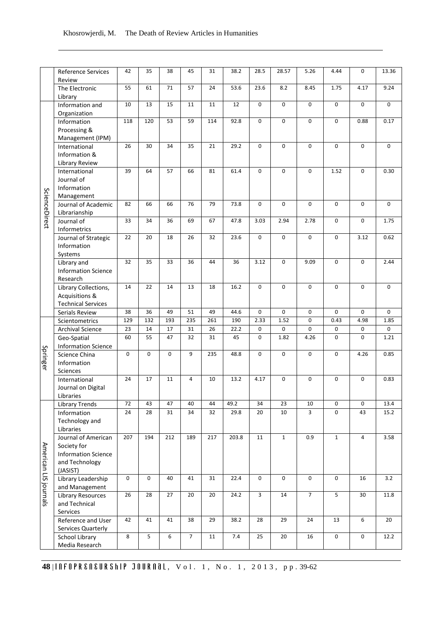|                       | Reference Services<br>Review                                        | 42          | 35          | 38  | 45             | 31  | 38.2  | 28.5                    | 28.57        | 5.26           | 4.44           | 0                | 13.36       |
|-----------------------|---------------------------------------------------------------------|-------------|-------------|-----|----------------|-----|-------|-------------------------|--------------|----------------|----------------|------------------|-------------|
|                       | The Electronic<br>Library                                           | 55          | 61          | 71  | 57             | 24  | 53.6  | 23.6                    | 8.2          | 8.45           | 1.75           | 4.17             | 9.24        |
|                       | Information and<br>Organization                                     | 10          | 13          | 15  | 11             | 11  | 12    | $\mathbf 0$             | 0            | 0              | 0              | $\mathbf 0$      | 0           |
|                       | Information                                                         | 118         | 120         | 53  | 59             | 114 | 92.8  | $\mathbf 0$             | 0            | 0              | 0              | 0.88             | 0.17        |
|                       | Processing &<br>Management (IPM)                                    |             |             |     |                |     |       |                         |              |                |                |                  |             |
|                       | International<br>Information &<br><b>Library Review</b>             | 26          | 30          | 34  | 35             | 21  | 29.2  | $\mathbf 0$             | 0            | 0              | 0              | $\mathbf 0$      | $\mathbf 0$ |
|                       | International<br>Journal of                                         | 39          | 64          | 57  | 66             | 81  | 61.4  | $\mathbf 0$             | $\mathbf 0$  | 0              | 1.52           | $\boldsymbol{0}$ | 0.30        |
|                       | Information<br>Management                                           |             |             |     |                |     |       |                         |              |                |                |                  |             |
| ScienceDirect         | Journal of Academic<br>Librarianship                                | 82          | 66          | 66  | 76             | 79  | 73.8  | $\mathbf 0$             | $\mathbf 0$  | 0              | 0              | $\mathbf 0$      | $\mathbf 0$ |
|                       | Journal of<br>Informetrics                                          | 33          | 34          | 36  | 69             | 67  | 47.8  | 3.03                    | 2.94         | 2.78           | 0              | $\mathbf 0$      | 1.75        |
|                       | Journal of Strategic<br>Information<br>Systems                      | 22          | 20          | 18  | 26             | 32  | 23.6  | $\mathbf 0$             | $\mathbf 0$  | 0              | 0              | 3.12             | 0.62        |
|                       | Library and<br><b>Information Science</b><br>Research               | 32          | 35          | 33  | 36             | 44  | 36    | 3.12                    | $\mathbf 0$  | 9.09           | 0              | $\mathbf 0$      | 2.44        |
|                       | Library Collections,<br>Acquisitions &<br><b>Technical Services</b> | 14          | 22          | 14  | 13             | 18  | 16.2  | $\mathbf 0$             | 0            | 0              | 0              | $\mathbf 0$      | 0           |
|                       | Serials Review                                                      | 38          | 36          | 49  | 51             | 49  | 44.6  | $\mathbf 0$             | 0            | 0              | 0              | $\mathbf 0$      | $\mathbf 0$ |
|                       |                                                                     |             | 132         | 193 | 235            | 261 | 190   | 2.33                    | 1.52         | 0              | 0.43           | 4.98             |             |
|                       | Scientometrics                                                      | 129<br>23   | 14          | 17  | 31             | 26  | 22.2  | 0                       | 0            | 0              | 0              | 0                | 1.85<br>0   |
|                       | <b>Archival Science</b>                                             |             |             |     |                |     |       |                         |              |                |                |                  |             |
|                       | Geo-Spatial<br><b>Information Science</b>                           | 60          | 55          | 47  | 32             | 31  | 45    | $\mathbf 0$             | 1.82         | 4.26           | 0              | $\mathbf 0$      | 1.21        |
| Springer              | Science China<br>Information<br>Sciences                            | $\mathbf 0$ | $\mathbf 0$ | 0   | 9              | 235 | 48.8  | $\mathbf 0$             | $\mathbf 0$  | $\mathbf 0$    | 0              | 4.26             | 0.85        |
|                       | International<br>Journal on Digital<br>Libraries                    | 24          | 17          | 11  | $\overline{4}$ | 10  | 13.2  | 4.17                    | $\mathbf 0$  | $\mathbf 0$    | 0              | $\Omega$         | 0.83        |
|                       | <b>Library Trends</b>                                               | 72          | 43          | 47  | 40             | 44  | 49.2  | 34                      | 23           | 10             | 0              | 0                | 13.4        |
|                       | Information                                                         | 24          | 28          | 31  | 34             | 32  | 29.8  | 20                      | 10           | 3              | $\mathbf 0$    | 43               | 15.2        |
|                       | Technology and<br>Libraries                                         |             |             |     |                |     |       |                         |              |                |                |                  |             |
|                       | Journal of American<br>Society for                                  | 207         | 194         | 212 | 189            | 217 | 203.8 | $11\,$                  | $\mathbf{1}$ | 0.9            | $\mathbf{1}$   | $\overline{4}$   | 3.58        |
| American LIS journals | <b>Information Science</b><br>and Technology<br>(JASIST)            |             |             |     |                |     |       |                         |              |                |                |                  |             |
|                       | Library Leadership<br>and Management                                | $\mathbf 0$ | $\mathbf 0$ | 40  | 41             | 31  | 22.4  | 0                       | $\pmb{0}$    | $\pmb{0}$      | 0              | 16               | $3.2\,$     |
|                       | Library Resources<br>and Technical<br>Services                      | 26          | 28          | 27  | 20             | 20  | 24.2  | $\overline{\mathbf{3}}$ | $14\,$       | $\overline{7}$ | $\overline{5}$ | 30               | $11.8\,$    |
|                       | Reference and User<br>Services Quarterly                            | 42          | 41          | 41  | 38             | 29  | 38.2  | 28                      | 29           | 24             | 13             | 6                | 20          |
|                       | School Library<br>Media Research                                    | $\bf 8$     | 5           | 6   | $\overline{7}$ | 11  | $7.4$ | 25                      | 20           | 16             | $\pmb{0}$      | $\pmb{0}$        | 12.2        |

**48** | **ARELA EXAMPER CONSTREMENTED BY A STATE OF THE STATE OF A SUBSET OF A SUBSET OF A SUBSET OF A SUBSET OF A SUBSET OF A SUBSET OF A SUBSET OF A SUBSET OF A SUBSET OF A SUBSET OF A SUBSET OF A SUBSET OF A SUBSET OF A S**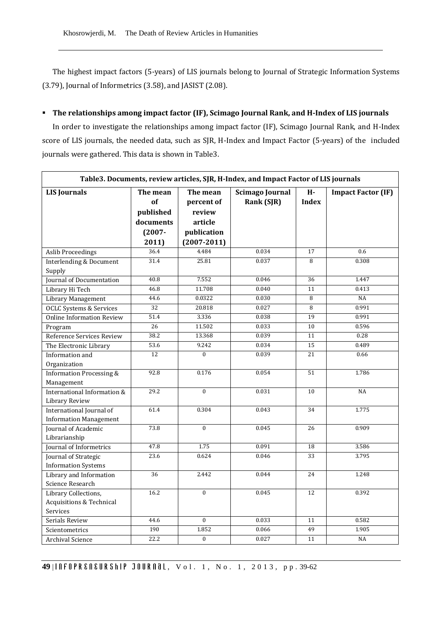Khosrowjerdi, M. The Death of Review Articles in Humanities

The highest impact factors (5-years) of LIS journals belong to Journal of Strategic Information Systems (3.79), Journal of Informetrics (3.58), and JASIST (2.08).

# **The relationships among impact factor (IF), Scimago Journal Rank, and H-Index of LIS journals**

In order to investigate the relationships among impact factor (IF), Scimago Journal Rank, and H-Index score of LIS journals, the needed data, such as SJR, H-Index and Impact Factor (5-years) of the included journals were gathered. This data is shown in Table3.

| Table3. Documents, review articles, SJR, H-Index, and Impact Factor of LIS journals |                                          |                                             |                                      |                    |                           |  |  |
|-------------------------------------------------------------------------------------|------------------------------------------|---------------------------------------------|--------------------------------------|--------------------|---------------------------|--|--|
| <b>LIS Journals</b>                                                                 | The mean<br>of<br>published<br>documents | The mean<br>percent of<br>review<br>article | <b>Scimago Journal</b><br>Rank (SJR) | H-<br><b>Index</b> | <b>Impact Factor (IF)</b> |  |  |
|                                                                                     | $(2007 -$                                | publication                                 |                                      |                    |                           |  |  |
| <b>Aslib Proceedings</b>                                                            | 2011)<br>36.4                            | $(2007 - 2011)$<br>4.484                    | 0.034                                | 17                 | 0.6                       |  |  |
| <b>Interlending &amp; Document</b>                                                  | 31.4                                     | 25.81                                       | 0.037                                | 8                  | 0.308                     |  |  |
| Supply                                                                              |                                          |                                             |                                      |                    |                           |  |  |
| Journal of Documentation                                                            | 40.8                                     | 7.552                                       | 0.046                                | 36                 | 1.447                     |  |  |
| Library Hi Tech                                                                     | 46.8                                     | 11.708                                      | 0.040                                | 11                 | 0.413                     |  |  |
| Library Management                                                                  | 44.6                                     | 0.0322                                      | 0.030                                | 8                  | NA                        |  |  |
| <b>OCLC Systems &amp; Services</b>                                                  | 32                                       | 20.818                                      | 0.027                                | 8                  | 0.991                     |  |  |
| <b>Online Information Review</b>                                                    | 51.4                                     | 3.336                                       | 0.038                                | 19                 | 0.991                     |  |  |
| Program                                                                             | $\overline{26}$                          | 11.502                                      | 0.033                                | 10                 | 0.596                     |  |  |
| Reference Services Review                                                           | 38.2                                     | 13.368                                      | 0.039                                | 11                 | 0.28                      |  |  |
| The Electronic Library                                                              | 53.6                                     | 9.242                                       | 0.034                                | 15                 | 0.489                     |  |  |
| Information and                                                                     | 12                                       | $\overline{0}$                              | 0.039                                | 21                 | 0.66                      |  |  |
| Organization                                                                        |                                          |                                             |                                      |                    |                           |  |  |
| <b>Information Processing &amp;</b>                                                 | 92.8                                     | 0.176                                       | 0.054                                | 51                 | 1.786                     |  |  |
| Management                                                                          |                                          |                                             |                                      |                    |                           |  |  |
| International Information &<br>Library Review                                       | 29.2                                     | $\theta$                                    | 0.031                                | 10                 | <b>NA</b>                 |  |  |
| International Journal of                                                            | 61.4                                     | 0.304                                       | 0.043                                | 34                 | 1.775                     |  |  |
| <b>Information Management</b>                                                       |                                          |                                             |                                      |                    |                           |  |  |
| Journal of Academic<br>Librarianship                                                | 73.8                                     | $\mathbf{0}$                                | 0.045                                | 26                 | 0.909                     |  |  |
| Journal of Informetrics                                                             | 47.8                                     | 1.75                                        | 0.091                                | 18                 | 3.586                     |  |  |
| Journal of Strategic<br><b>Information Systems</b>                                  | 23.6                                     | 0.624                                       | 0.046                                | 33                 | 3.795                     |  |  |
| Library and Information                                                             | 36                                       | 2.442                                       | 0.044                                | 24                 | 1.248                     |  |  |
| Science Research                                                                    |                                          |                                             |                                      |                    |                           |  |  |
| Library Collections,                                                                | 16.2                                     | $\mathbf{0}$                                | 0.045                                | 12                 | 0.392                     |  |  |
| Acquisitions & Technical                                                            |                                          |                                             |                                      |                    |                           |  |  |
| Services                                                                            |                                          |                                             |                                      |                    |                           |  |  |
| Serials Review                                                                      | 44.6                                     | $\Omega$                                    | 0.033                                | 11                 | 0.582                     |  |  |
| Scientometrics                                                                      | 190                                      | 1.852                                       | 0.066                                | 49                 | 1.905                     |  |  |
| Archival Science                                                                    | 22.2                                     | $\boldsymbol{0}$                            | 0.027                                | 11                 | NA                        |  |  |

**49** | *Infoprential pour limits of ..., No. 1, 2013, pp. 39-62*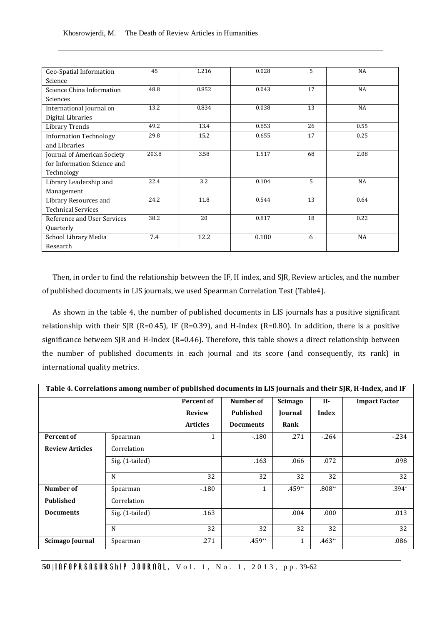| Geo-Spatial Information       | 45    | 1.216 | 0.028 | 5  | NA        |
|-------------------------------|-------|-------|-------|----|-----------|
| Science                       |       |       |       |    |           |
| Science China Information     | 48.8  | 0.852 | 0.043 | 17 | <b>NA</b> |
| Sciences                      |       |       |       |    |           |
| International Journal on      | 13.2  | 0.834 | 0.038 | 13 | <b>NA</b> |
| Digital Libraries             |       |       |       |    |           |
| <b>Library Trends</b>         | 49.2  | 13.4  | 0.653 | 26 | 0.55      |
| <b>Information Technology</b> | 29.8  | 15.2  | 0.655 | 17 | 0.25      |
| and Libraries                 |       |       |       |    |           |
| Journal of American Society   | 203.8 | 3.58  | 1.517 | 68 | 2.08      |
| for Information Science and   |       |       |       |    |           |
| Technology                    |       |       |       |    |           |
| Library Leadership and        | 22.4  | 3.2   | 0.104 | 5  | <b>NA</b> |
| Management                    |       |       |       |    |           |
| Library Resources and         | 24.2  | 11.8  | 0.544 | 13 | 0.64      |
| <b>Technical Services</b>     |       |       |       |    |           |
| Reference and User Services   | 38.2  | 20    | 0.817 | 18 | 0.22      |
| Quarterly                     |       |       |       |    |           |
| School Library Media          | 7.4   | 12.2  | 0.180 | 6  | <b>NA</b> |
| Research                      |       |       |       |    |           |

Then, in order to find the relationship between the IF, H index, and SJR, Review articles, and the number of published documents in LIS journals, we used Spearman Correlation Test (Table4).

As shown in the table 4, the number of published documents in LIS journals has a positive significant relationship with their SJR (R=0.45), IF (R=0.39), and H-Index (R=0.80). In addition, there is a positive significance between SJR and H-Index (R=0.46). Therefore, this table shows a direct relationship between the number of published documents in each journal and its score (and consequently, its rank) in international quality metrics.

| Table 4. Correlations among number of published documents in LIS journals and their SJR, H-Index, and IF |                 |                 |                  |              |          |                      |  |  |
|----------------------------------------------------------------------------------------------------------|-----------------|-----------------|------------------|--------------|----------|----------------------|--|--|
|                                                                                                          |                 | Percent of      | Number of        | Scimago      | Н-       | <b>Impact Factor</b> |  |  |
|                                                                                                          |                 | <b>Review</b>   | <b>Published</b> | Journal      | Index    |                      |  |  |
|                                                                                                          |                 | <b>Articles</b> | <b>Documents</b> | Rank         |          |                      |  |  |
| <b>Percent of</b>                                                                                        | Spearman        | 1               | $-180$           | .271         | $-264$   | $-234$               |  |  |
| <b>Review Articles</b>                                                                                   | Correlation     |                 |                  |              |          |                      |  |  |
|                                                                                                          | Sig. (1-tailed) |                 | .163             | .066         | .072     | .098                 |  |  |
|                                                                                                          | N               | 32              | 32               | 32           | 32       | 32                   |  |  |
| Number of                                                                                                | Spearman        | $-180$          | $\mathbf{1}$     | $.459**$     | .808**   | $.394*$              |  |  |
| <b>Published</b>                                                                                         | Correlation     |                 |                  |              |          |                      |  |  |
| <b>Documents</b>                                                                                         | Sig. (1-tailed) | .163            |                  | .004         | .000     | .013                 |  |  |
|                                                                                                          |                 |                 |                  |              |          |                      |  |  |
|                                                                                                          | N               | 32              | 32               | 32           | 32       | 32                   |  |  |
| Scimago Journal                                                                                          | Spearman        | .271            | $.459**$         | $\mathbf{1}$ | $.463**$ | .086                 |  |  |

**50** | , V o l . 1 , N o . 1 , 2 0 1 3 , p p . 39-62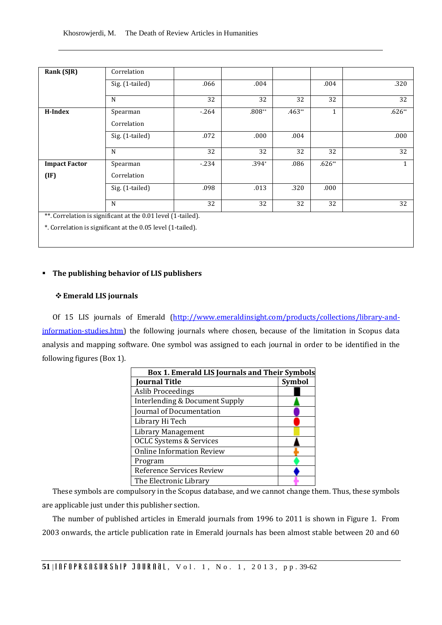| Rank (SJR)           | Correlation                                                  |        |          |          |          |              |
|----------------------|--------------------------------------------------------------|--------|----------|----------|----------|--------------|
|                      | Sig. (1-tailed)                                              | .066   | .004     |          | .004     | .320         |
|                      | N                                                            | 32     | 32       | 32       | 32       | 32           |
| H-Index              | Spearman                                                     | $-264$ | $.808**$ | $.463**$ | 1        | $.626**$     |
|                      | Correlation                                                  |        |          |          |          |              |
|                      | Sig. (1-tailed)                                              | .072   | .000     | .004     |          | .000         |
|                      | N                                                            | 32     | 32       | 32       | 32       | 32           |
| <b>Impact Factor</b> | Spearman                                                     | $-234$ | $.394*$  | .086     | $.626**$ | $\mathbf{1}$ |
| (IF)                 | Correlation                                                  |        |          |          |          |              |
|                      | Sig. (1-tailed)                                              | .098   | .013     | .320     | .000     |              |
|                      | N                                                            | 32     | 32       | 32       | 32       | 32           |
|                      | **. Correlation is significant at the 0.01 level (1-tailed). |        |          |          |          |              |
|                      | *. Correlation is significant at the 0.05 level (1-tailed).  |        |          |          |          |              |

## **The publishing behavior of LIS publishers**

### **Emerald LIS journals**

Of 15 LIS journals of Emerald [\(http://www.emeraldinsight.com/products/collections/library-and](http://www.emeraldinsight.com/products/collections/library-and-information-studies.htm)[information-studies.htm\)](http://www.emeraldinsight.com/products/collections/library-and-information-studies.htm) the following journals where chosen, because of the limitation in Scopus data analysis and mapping software. One symbol was assigned to each journal in order to be identified in the following figures (Box 1).

| <b>Box 1. Emerald LIS Journals and Their Symbols</b> |               |  |  |  |
|------------------------------------------------------|---------------|--|--|--|
| <b>Journal Title</b>                                 | <b>Symbol</b> |  |  |  |
| <b>Aslib Proceedings</b>                             |               |  |  |  |
| Interlending & Document Supply                       |               |  |  |  |
| Journal of Documentation                             |               |  |  |  |
| Library Hi Tech                                      |               |  |  |  |
| Library Management                                   |               |  |  |  |
| <b>OCLC Systems &amp; Services</b>                   |               |  |  |  |
| <b>Online Information Review</b>                     |               |  |  |  |
| Program                                              |               |  |  |  |
| Reference Services Review                            |               |  |  |  |
| The Electronic Library                               |               |  |  |  |

These symbols are compulsory in the Scopus database, and we cannot change them. Thus, these symbols are applicable just under this publisher section.

The number of published articles in Emerald journals from 1996 to 2011 is shown in Figure 1. From 2003 onwards, the article publication rate in Emerald journals has been almost stable between 20 and 60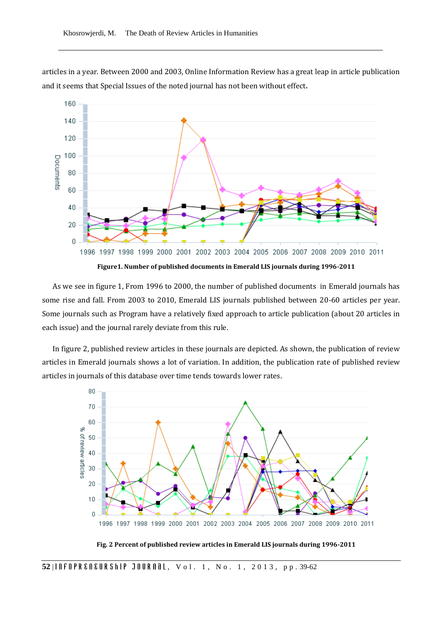articles in a year. Between 2000 and 2003, Online Information Review has a great leap in article publication and it seems that Special Issues of the noted journal has not been without effect.



As we see in figure 1, From 1996 to 2000, the number of published documents in Emerald journals has some rise and fall. From 2003 to 2010, Emerald LIS journals published between 20-60 articles per year. Some journals such as Program have a relatively fixed approach to article publication (about 20 articles in each issue) and the journal rarely deviate from this rule.

In figure 2, published review articles in these journals are depicted. As shown, the publication of review articles in Emerald journals shows a lot of variation. In addition, the publication rate of published review articles in journals of this database over time tends towards lower rates.



**Fig. 2 Percent of published review articles in Emerald LIS journals during 1996-2011**

52 | **ARTIOUR SHEARS AND STRING TO A READ THE UPPER SHEART TO A LIGHTER SHEART THE UPPER SHEART TO PP. 39-62**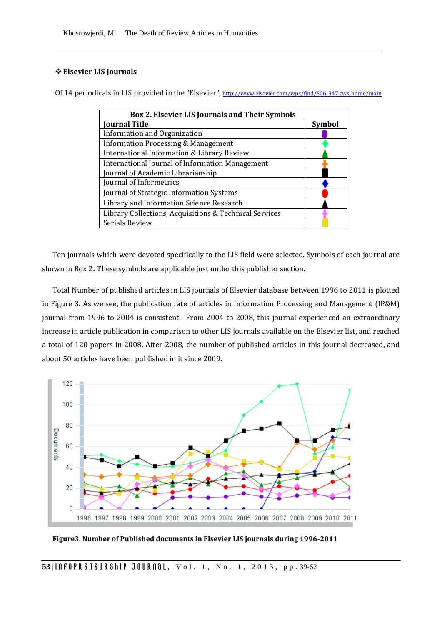# **Elsevier LIS Journals**

Of 14 periodicals in LIS provided in the "Elsevier", [http://www.elsevier.com/wps/find/S06\\_347.cws\\_home/main.](http://www.elsevier.com/wps/find/S06_347.cws_home/main)

| <b>Box 2. Elsevier LIS Journals and Their Symbols</b>  |               |  |  |  |  |  |
|--------------------------------------------------------|---------------|--|--|--|--|--|
| <b>Journal Title</b>                                   | <b>Symbol</b> |  |  |  |  |  |
| Information and Organization                           |               |  |  |  |  |  |
| <b>Information Processing &amp; Management</b>         |               |  |  |  |  |  |
| International Information & Library Review             |               |  |  |  |  |  |
| <b>International Journal of Information Management</b> |               |  |  |  |  |  |
| Journal of Academic Librarianship                      |               |  |  |  |  |  |
| Journal of Informetrics                                |               |  |  |  |  |  |
| Journal of Strategic Information Systems               |               |  |  |  |  |  |
| Library and Information Science Research               |               |  |  |  |  |  |
| Library Collections, Acquisitions & Technical Services |               |  |  |  |  |  |
| Serials Review                                         |               |  |  |  |  |  |

Ten journals which were devoted specifically to the LIS field were selected. Symbols of each journal are shown in Box 2. These symbols are applicable just under this publisher section.

Total Number of published articles in LIS journals of Elsevier database between 1996 to 2011 is plotted in Figure 3. As we see, the publication rate of articles in Information Processing and Management (IP&M) journal from 1996 to 2004 is consistent. From 2004 to 2008, this journal experienced an extraordinary increase in article publication in comparison to other LIS journals available on the Elsevier list, and reached a total of 120 papers in 2008. After 2008, the number of published articles in this journal decreased, and about 50 articles have been published in it since 2009.



**Figure3. Number of Published documents in Elsevier LIS journals during 1996-2011**

53 | **10 F O P R & N & U R S h I P** J O U R N al. v o 1. 1, N o. 1, 2013, p p . 39-62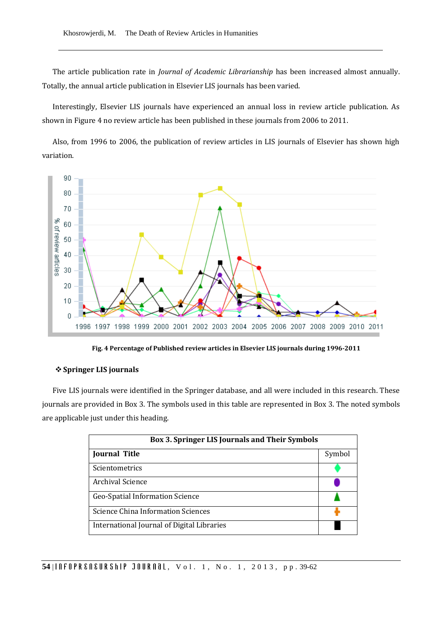The article publication rate in *Journal of Academic Librarianship* has been increased almost annually. Totally, the annual article publication in Elsevier LIS journals has been varied.

Interestingly, Elsevier LIS journals have experienced an annual loss in review article publication. As shown in Figure 4 no review article has been published in these journals from 2006 to 2011.

Also, from 1996 to 2006, the publication of review articles in LIS journals of Elsevier has shown high variation.



**Fig. 4 Percentage of Published review articles in Elsevier LIS journals during 1996-2011**

# **Springer LIS journals**

Five LIS journals were identified in the Springer database, and all were included in this research. These journals are provided in Box 3. The symbols used in this table are represented in Box 3. The noted symbols are applicable just under this heading.

| Box 3. Springer LIS Journals and Their Symbols |        |  |  |  |  |  |
|------------------------------------------------|--------|--|--|--|--|--|
| <b>Journal Title</b>                           | Symbol |  |  |  |  |  |
| Scientometrics                                 |        |  |  |  |  |  |
| Archival Science                               |        |  |  |  |  |  |
| Geo-Spatial Information Science                |        |  |  |  |  |  |
| Science China Information Sciences             |        |  |  |  |  |  |
| International Journal of Digital Libraries     |        |  |  |  |  |  |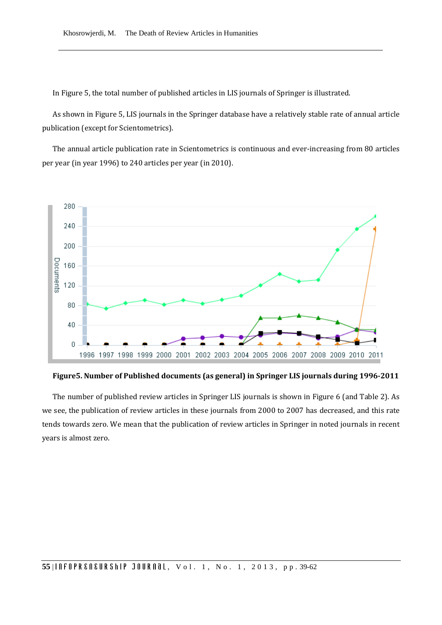In Figure 5, the total number of published articles in LIS journals of Springer is illustrated.

As shown in Figure 5, LIS journals in the Springer database have a relatively stable rate of annual article publication (except for Scientometrics).

The annual article publication rate in Scientometrics is continuous and ever-increasing from 80 articles per year (in year 1996) to 240 articles per year (in 2010).



**Figure5. Number of Published documents (as general) in Springer LIS journals during 1996-2011**

The number of published review articles in Springer LIS journals is shown in Figure 6 (and Table 2). As we see, the publication of review articles in these journals from 2000 to 2007 has decreased, and this rate tends towards zero. We mean that the publication of review articles in Springer in noted journals in recent years is almost zero.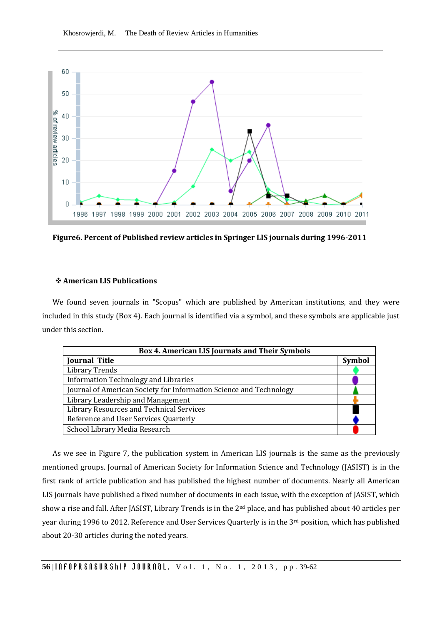

**Figure6. Percent of Published review articles in Springer LIS journals during 1996-2011**

## **American LIS Publications**

We found seven journals in "Scopus" which are published by American institutions, and they were included in this study (Box 4). Each journal is identified via a symbol, and these symbols are applicable just under this section.

| Box 4. American LIS Journals and Their Symbols                     |               |  |  |  |  |  |  |
|--------------------------------------------------------------------|---------------|--|--|--|--|--|--|
| <b>Journal Title</b>                                               | <b>Symbol</b> |  |  |  |  |  |  |
| <b>Library Trends</b>                                              |               |  |  |  |  |  |  |
| <b>Information Technology and Libraries</b>                        |               |  |  |  |  |  |  |
| Journal of American Society for Information Science and Technology |               |  |  |  |  |  |  |
| Library Leadership and Management                                  |               |  |  |  |  |  |  |
| Library Resources and Technical Services                           |               |  |  |  |  |  |  |
| Reference and User Services Quarterly                              |               |  |  |  |  |  |  |
| School Library Media Research                                      |               |  |  |  |  |  |  |

As we see in Figure 7, the publication system in American LIS journals is the same as the previously mentioned groups. Journal of American Society for Information Science and Technology (JASIST) is in the first rank of article publication and has published the highest number of documents. Nearly all American LIS journals have published a fixed number of documents in each issue, with the exception of JASIST, which show a rise and fall. After JASIST, Library Trends is in the 2nd place, and has published about 40 articles per year during 1996 to 2012. Reference and User Services Quarterly is in the 3<sup>rd</sup> position, which has published about 20-30 articles during the noted years.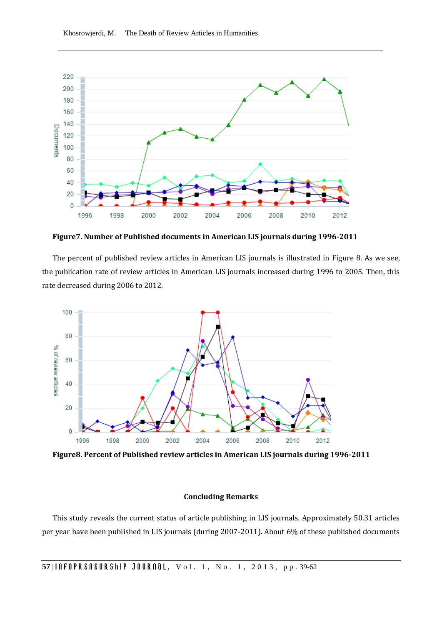

**Figure7. Number of Published documents in American LIS journals during 1996-2011**

The percent of published review articles in American LIS journals is illustrated in Figure 8. As we see, the publication rate of review articles in American LIS journals increased during 1996 to 2005. Then, this rate decreased during 2006 to 2012.



**Figure8. Percent of Published review articles in American LIS journals during 1996-2011**

## **Concluding Remarks**

This study reveals the current status of article publishing in LIS journals. Approximately 50.31 articles per year have been published in LIS journals (during 2007-2011). About 6% of these published documents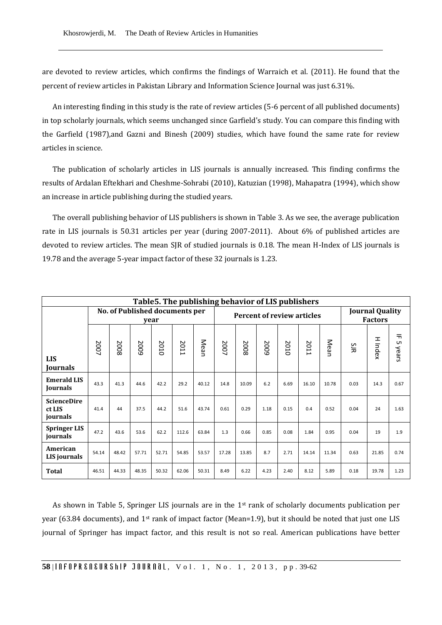are devoted to review articles, which confirms the findings of Warraich et al. (2011). He found that the percent of review articles in Pakistan Library and Information Science Journal was just 6.31%.

An interesting finding in this study is the rate of review articles (5-6 percent of all published documents) in top scholarly journals, which seems unchanged since Garfield's study. You can compare this finding with the Garfield (1987),and Gazni and Binesh (2009) studies, which have found the same rate for review articles in science.

The publication of scholarly articles in LIS journals is annually increased. This finding confirms the results of Ardalan Eftekhari and Cheshme-Sohrabi (2010), Katuzian (1998), Mahapatra (1994), which show an increase in article publishing during the studied years.

The overall publishing behavior of LIS publishers is shown in Table 3. As we see, the average publication rate in LIS journals is 50.31 articles per year (during 2007-2011). About 6% of published articles are devoted to review articles. The mean SJR of studied journals is 0.18. The mean H-Index of LIS journals is 19.78 and the average 5-year impact factor of these 32 journals is 1.23.

| Table 5. The publishing behavior of LIS publishers |                                        |       |       |       |       |       |                                   |       |      |      |       |       |                                          |         |                  |
|----------------------------------------------------|----------------------------------------|-------|-------|-------|-------|-------|-----------------------------------|-------|------|------|-------|-------|------------------------------------------|---------|------------------|
|                                                    | No. of Published documents per<br>year |       |       |       |       |       | <b>Percent of review articles</b> |       |      |      |       |       | <b>Journal Quality</b><br><b>Factors</b> |         |                  |
| <b>LIS</b><br>Journals                             | 2007                                   | 2008  | 5002  | 2010  | 2011  | Mean  | 2007                              | 2008  | 5002 | 2010 | 2011  | Mean  | ξ                                        | H Index | 듀<br>UП<br>Vears |
| <b>Emerald LIS</b><br>Journals                     | 43.3                                   | 41.3  | 44.6  | 42.2  | 29.2  | 40.12 | 14.8                              | 10.09 | 6.2  | 6.69 | 16.10 | 10.78 | 0.03                                     | 14.3    | 0.67             |
| <b>ScienceDire</b><br>ct LIS<br>journals           | 41.4                                   | 44    | 37.5  | 44.2  | 51.6  | 43.74 | 0.61                              | 0.29  | 1.18 | 0.15 | 0.4   | 0.52  | 0.04                                     | 24      | 1.63             |
| <b>Springer LIS</b><br>journals                    | 47.2                                   | 43.6  | 53.6  | 62.2  | 112.6 | 63.84 | 1.3                               | 0.66  | 0.85 | 0.08 | 1.84  | 0.95  | 0.04                                     | 19      | 1.9              |
| American<br>LIS journals                           | 54.14                                  | 48.42 | 57.71 | 52.71 | 54.85 | 53.57 | 17.28                             | 13.85 | 8.7  | 2.71 | 14.14 | 11.34 | 0.63                                     | 21.85   | 0.74             |
| <b>Total</b>                                       | 46.51                                  | 44.33 | 48.35 | 50.32 | 62.06 | 50.31 | 8.49                              | 6.22  | 4.23 | 2.40 | 8.12  | 5.89  | 0.18                                     | 19.78   | 1.23             |

As shown in Table 5, Springer LIS journals are in the 1st rank of scholarly documents publication per year (63.84 documents), and  $1<sup>st</sup>$  rank of impact factor (Mean=1.9), but it should be noted that just one LIS journal of Springer has impact factor, and this result is not so real. American publications have better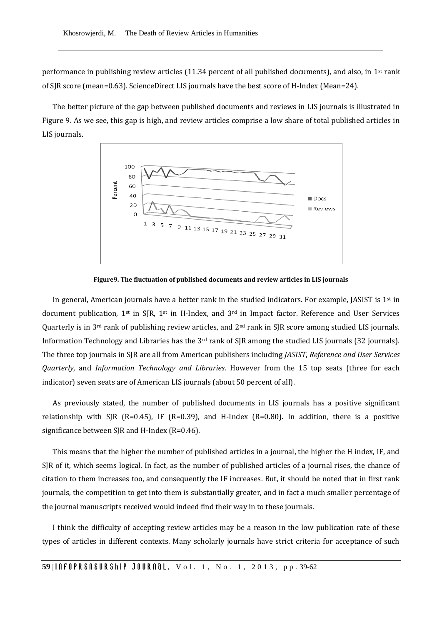performance in publishing review articles (11.34 percent of all published documents), and also, in 1st rank of SJR score (mean=0.63). ScienceDirect LIS journals have the best score of H-Index (Mean=24).

The better picture of the gap between published documents and reviews in LIS journals is illustrated in Figure 9. As we see, this gap is high, and review articles comprise a low share of total published articles in LIS journals.



**Figure9. The fluctuation of published documents and review articles in LIS journals**

In general, American journals have a better rank in the studied indicators. For example, JASIST is  $1<sup>st</sup>$  in document publication, 1st in SJR, 1st in H-Index, and 3rd in Impact factor. Reference and User Services Quarterly is in  $3<sup>rd</sup>$  rank of publishing review articles, and  $2<sup>nd</sup>$  rank in SJR score among studied LIS journals. Information Technology and Libraries has the 3rd rank of SJR among the studied LIS journals (32 journals). The three top journals in SJR are all from American publishers including *JASIST*, *Reference and User Services Quarterly*, and *Information Technology and Libraries*. However from the 15 top seats (three for each indicator) seven seats are of American LIS journals (about 50 percent of all).

As previously stated, the number of published documents in LIS journals has a positive significant relationship with SJR (R=0.45), IF (R=0.39), and H-Index (R=0.80). In addition, there is a positive significance between SJR and H-Index (R=0.46).

This means that the higher the number of published articles in a journal, the higher the H index, IF, and SJR of it, which seems logical. In fact, as the number of published articles of a journal rises, the chance of citation to them increases too, and consequently the IF increases. But, it should be noted that in first rank journals, the competition to get into them is substantially greater, and in fact a much smaller percentage of the journal manuscripts received would indeed find their way in to these journals.

I think the difficulty of accepting review articles may be a reason in the low publication rate of these types of articles in different contexts. Many scholarly journals have strict criteria for acceptance of such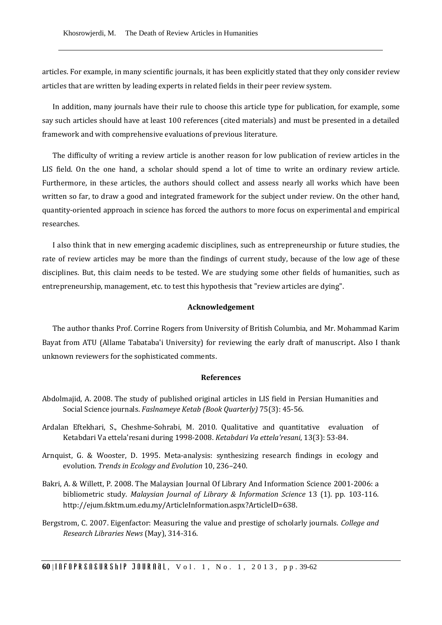articles. For example, in many scientific journals, it has been explicitly stated that they only consider review articles that are written by leading experts in related fields in their peer review system.

In addition, many journals have their rule to choose this article type for publication, for example, some say such articles should have at least 100 references (cited materials) and must be presented in a detailed framework and with comprehensive evaluations of previous literature.

The difficulty of writing a review article is another reason for low publication of review articles in the LIS field. On the one hand, a scholar should spend a lot of time to write an ordinary review article. Furthermore, in these articles, the authors should collect and assess nearly all works which have been written so far, to draw a good and integrated framework for the subject under review. On the other hand, quantity-oriented approach in science has forced the authors to more focus on experimental and empirical researches.

I also think that in new emerging academic disciplines, such as entrepreneurship or future studies, the rate of review articles may be more than the findings of current study, because of the low age of these disciplines. But, this claim needs to be tested. We are studying some other fields of humanities, such as entrepreneurship, management, etc. to test this hypothesis that "review articles are dying".

#### **Acknowledgement**

The author thanks Prof. Corrine Rogers from University of British Columbia, and Mr. Mohammad Karim Bayat from ATU (Allame Tabataba'i University) for reviewing the early draft of manuscript. Also I thank unknown reviewers for the sophisticated comments.

### **References**

- Abdolmajid, A. 2008. The study of published original articles in LIS field in Persian Humanities and Social Science journals. *Faslnameye Ketab (Book Quarterly)* 75(3): 45-56.
- Ardalan Eftekhari, S., Cheshme-Sohrabi, M. 2010. Qualitative and quantitative evaluation of Ketabdari Va ettela'resani during 1998-2008. *Ketabdari Va ettela'resani*, 13(3): 53-84.
- Arnquist, G. & Wooster, D. 1995. Meta-analysis: synthesizing research findings in ecology and evolution. *Trends in Ecology and Evolution* 10, 236–240.
- Bakri, A. & Willett, P. 2008. The Malaysian Journal Of Library And Information Science 2001-2006: a bibliometric study. *Malaysian Journal of Library & Information Science* 13 (1). pp. 103-116. http://ejum.fsktm.um.edu.my/ArticleInformation.aspx?ArticleID=638.
- Bergstrom, C. 2007. Eigenfactor: Measuring the value and prestige of scholarly journals. *College and Research Libraries News* (May), 314-316.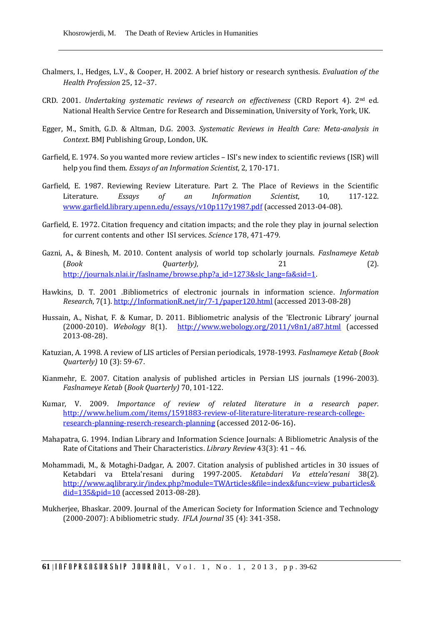- Chalmers, I., Hedges, L.V., & Cooper, H. 2002. A brief history or research synthesis. *Evaluation of the Health Profession* 25, 12–37.
- CRD. 2001. *Undertaking systematic reviews of research on effectiveness* (CRD Report 4). 2nd ed. National Health Service Centre for Research and Dissemination, University of York, York, UK.
- Egger, M., Smith, G.D. & Altman, D.G. 2003. *Systematic Reviews in Health Care: Meta-analysis in Context*. BMJ Publishing Group, London, UK.
- Garfield, E. 1974. So you wanted more review articles ISI's new index to scientific reviews (ISR) will help you find them. *Essays of an Information Scientist*, 2, 170-171.
- Garfield, E. 1987. Reviewing Review Literature. Part 2. The Place of Reviews in the Scientific Literature. *Essays of an Information Scientist*, 10, 117-122. [www.garfield.library.upenn.edu/essays/v10p117y1987.pdf](http://www.garfield.library.upenn.edu/essays/v10p117y1987.pdf) (accessed 2013-04-08).
- Garfield, E. 1972. Citation frequency and citation impacts; and the role they play in journal selection for current contents and other ISI services. *Science* 178, 471-479.
- Gazni, A., & Binesh, M. 2010. Content analysis of world top scholarly journals. *Faslnameye Ketab* (*Book Quarterly)*, 21 (2). [http://journals.nlai.ir/faslname/browse.php?a\\_id=1273&slc\\_lang=fa&sid=1.](http://journals.nlai.ir/faslname/browse.php?a_id=1273&slc_lang=fa&sid=1)
- Hawkins, D. T. 2001 .Bibliometrics of electronic journals in information science. *Information Research*, 7(1)[. http://InformationR.net/ir/7-1/paper120.html](http://informationr.net/ir/7-1/paper120.html) (accessed 2013-08-28)
- Hussain, A., Nishat, F. & Kumar, D. 2011. Bibliometric analysis of the 'Electronic Library' journal (2000-2010). *Webology* 8(1). <http://www.webology.org/2011/v8n1/a87.html> (accessed 2013-08-28).
- Katuzian, A. 1998. A review of LIS articles of Persian periodicals, 1978-1993. *Faslnameye Ketab* (*Book Quarterly)* 10 (3): 59-67.
- Kianmehr, E. 2007. Citation analysis of published articles in Persian LIS journals (1996-2003). *Faslnameye Ketab* (*Book Quarterly)* 70, 101-122.
- Kumar, V. 2009. *Importance of review of related literature in a research paper*. [http://www.helium.com/items/1591883-review-of-literature-literature-research-college](http://www.helium.com/items/1591883-review-of-literature-literature-research-college-research-planning-reserch-research-planning)[research-planning-reserch-research-planning](http://www.helium.com/items/1591883-review-of-literature-literature-research-college-research-planning-reserch-research-planning) (accessed 2012-06-16).
- Mahapatra, G. 1994. Indian Library and Information Science Journals: A Bibliometric Analysis of the Rate of Citations and Their Characteristics. *Library Review* 43(3): 41 – 46.
- Mohammadi, M., & Motaghi-Dadgar, A. 2007. Citation analysis of published articles in 30 issues of Ketabdari va Ettela'resani during 1997-2005. *Ketabdari Va ettela'resani* 38(2). [http://www.aqlibrary.ir/index.php?module=TWArticles&file=index&func=view\\_pubarticles&](http://www.aqlibrary.ir/index.php?module=TWArticles&file=index&func=view_pubarticles&did=135&pid=10) [did=135&pid=10](http://www.aqlibrary.ir/index.php?module=TWArticles&file=index&func=view_pubarticles&did=135&pid=10) (accessed 2013-08-28).
- Mukherjee, Bhaskar. 2009. Journal of the American Society for Information Science and Technology (2000-2007): A bibliometric study. *IFLA Journal* 35 (4): 341-358.